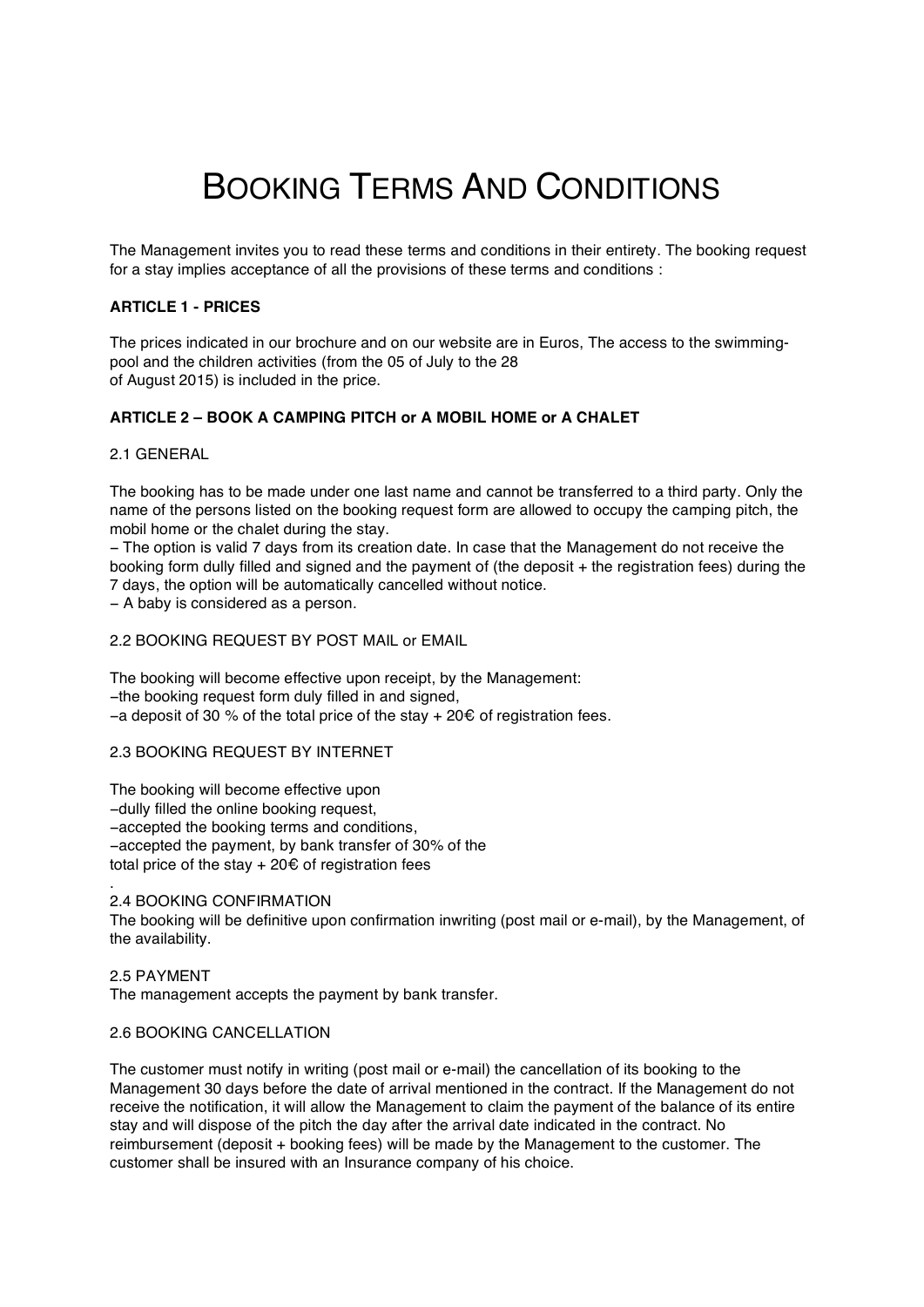# BOOKING TERMS AND CONDITIONS

The Management invites you to read these terms and conditions in their entirety. The booking request for a stay implies acceptance of all the provisions of these terms and conditions :

# **ARTICLE 1 - PRICES**

The prices indicated in our brochure and on our website are in Euros, The access to the swimmingpool and the children activities (from the 05 of July to the 28 of August 2015) is included in the price.

# **ARTICLE 2 – BOOK A CAMPING PITCH or A MOBIL HOME or A CHALET**

## 2.1 GENERAL

.

The booking has to be made under one last name and cannot be transferred to a third party. Only the name of the persons listed on the booking request form are allowed to occupy the camping pitch, the mobil home or the chalet during the stay.

− The option is valid 7 days from its creation date. In case that the Management do not receive the booking form dully filled and signed and the payment of (the deposit + the registration fees) during the 7 days, the option will be automatically cancelled without notice.

− A baby is considered as a person.

2.2 BOOKING REQUEST BY POST MAIL or EMAIL

The booking will become effective upon receipt, by the Management: −the booking request form duly filled in and signed, −a deposit of 30 % of the total price of the stay + 20€ of registration fees.

## 2.3 BOOKING REQUEST BY INTERNET

The booking will become effective upon −dully filled the online booking request, −accepted the booking terms and conditions, −accepted the payment, by bank transfer of 30% of the total price of the stav  $+20 \epsilon$  of registration fees

2.4 BOOKING CONFIRMATION

The booking will be definitive upon confirmation inwriting (post mail or e-mail), by the Management, of the availability.

2.5 PAYMENT The management accepts the payment by bank transfer.

## 2.6 BOOKING CANCELLATION

The customer must notify in writing (post mail or e-mail) the cancellation of its booking to the Management 30 days before the date of arrival mentioned in the contract. If the Management do not receive the notification, it will allow the Management to claim the payment of the balance of its entire stay and will dispose of the pitch the day after the arrival date indicated in the contract. No reimbursement (deposit + booking fees) will be made by the Management to the customer. The customer shall be insured with an Insurance company of his choice.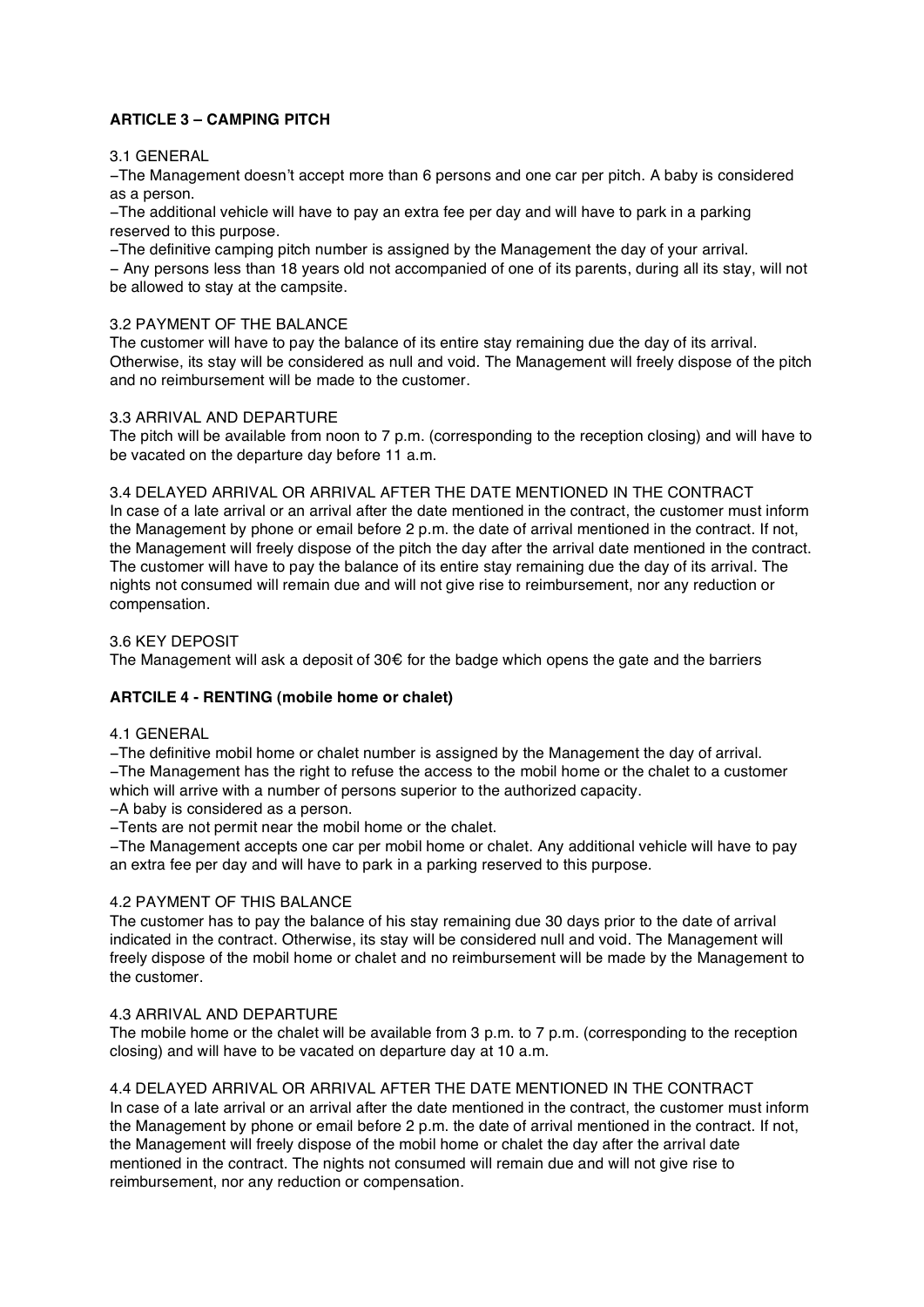# **ARTICLE 3 – CAMPING PITCH**

# 3.1 GENERAL

−The Management doesn't accept more than 6 persons and one car per pitch. A baby is considered as a person.

−The additional vehicle will have to pay an extra fee per day and will have to park in a parking reserved to this purpose.

−The definitive camping pitch number is assigned by the Management the day of your arrival.

− Any persons less than 18 years old not accompanied of one of its parents, during all its stay, will not be allowed to stay at the campsite.

# 3.2 PAYMENT OF THE BALANCE

The customer will have to pay the balance of its entire stay remaining due the day of its arrival. Otherwise, its stay will be considered as null and void. The Management will freely dispose of the pitch and no reimbursement will be made to the customer.

# 3.3 ARRIVAL AND DEPARTURE

The pitch will be available from noon to 7 p.m. (corresponding to the reception closing) and will have to be vacated on the departure day before 11 a.m.

## 3.4 DELAYED ARRIVAL OR ARRIVAL AFTER THE DATE MENTIONED IN THE CONTRACT

In case of a late arrival or an arrival after the date mentioned in the contract, the customer must inform the Management by phone or email before 2 p.m. the date of arrival mentioned in the contract. If not, the Management will freely dispose of the pitch the day after the arrival date mentioned in the contract. The customer will have to pay the balance of its entire stay remaining due the day of its arrival. The nights not consumed will remain due and will not give rise to reimbursement, nor any reduction or compensation.

# 3.6 KEY DEPOSIT

The Management will ask a deposit of  $30 \epsilon$  for the badge which opens the gate and the barriers

# **ARTCILE 4 - RENTING (mobile home or chalet)**

# 4.1 GENERAL

−The definitive mobil home or chalet number is assigned by the Management the day of arrival.

−The Management has the right to refuse the access to the mobil home or the chalet to a customer which will arrive with a number of persons superior to the authorized capacity.

−A baby is considered as a person.

−Tents are not permit near the mobil home or the chalet.

−The Management accepts one car per mobil home or chalet. Any additional vehicle will have to pay an extra fee per day and will have to park in a parking reserved to this purpose.

# 4.2 PAYMENT OF THIS BALANCE

The customer has to pay the balance of his stay remaining due 30 days prior to the date of arrival indicated in the contract. Otherwise, its stay will be considered null and void. The Management will freely dispose of the mobil home or chalet and no reimbursement will be made by the Management to the customer.

# 4.3 ARRIVAL AND DEPARTURE

The mobile home or the chalet will be available from 3 p.m. to 7 p.m. (corresponding to the reception closing) and will have to be vacated on departure day at 10 a.m.

# 4.4 DELAYED ARRIVAL OR ARRIVAL AFTER THE DATE MENTIONED IN THE CONTRACT

In case of a late arrival or an arrival after the date mentioned in the contract, the customer must inform the Management by phone or email before 2 p.m. the date of arrival mentioned in the contract. If not, the Management will freely dispose of the mobil home or chalet the day after the arrival date mentioned in the contract. The nights not consumed will remain due and will not give rise to reimbursement, nor any reduction or compensation.